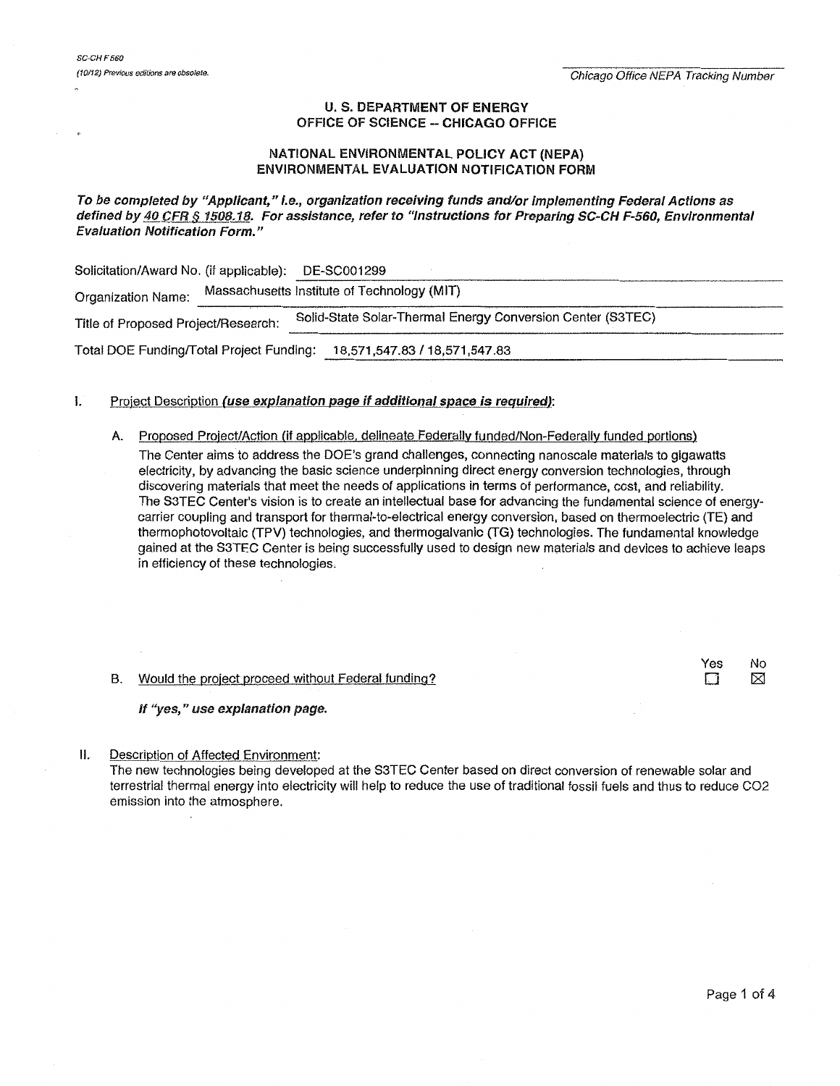## U. S. DEPARTMENT OF ENERGY OFFICE OF SCIENCE- CHICAGO OFFICE

## NATIONAL ENVIRONMENTAL POLICY ACT (NEPA) ENVIRONMENTAL EVALUATION NOTIFICATION FORM

### To be completed by "Applicant," I.e., organization receiving funds and/or implementing Federal Actions as defined by 40 CFR § 1508.18. For assistance, refer to "Instructions for Preparing SC-CH F-560, Environmental Evaluation Notification Form."

Solicitation/Award No. (if applicable): DE-SC001299 Organization Name: Massachusetts Institute of Technology (MIT) Title of Proposed Project/Research: Solid-State Solar-Thermal Energy Conversion Center (S3TEC) Total DOE Fundingffotal Project Funding: 18,571 ,547.83 /18,571 ,547.83 --------------------------------------------------------

## I. Project Description (use explanation page if additional space is required):

- A. Proposed Project/Action (if applicable, delineate Federally funded/Non-Federally funded portions) The Center aims to address the DOE's grand challenges, connecting nanoscale materials to gigawatts electricity, by advancing the basic science underpinning direct energy conversion technologies, through discovering materials that meet the needs of applications in terms of performance, cost, and reliability. The S3TEC Center's vision is to create an intellectual base for advancing the fundamental science of energycarrier coupling and transport for thermal-to-electrical energy conversion, based on thermoelectric (TE) and thermophotovoltaic (TPV) technologies, and thermogalvanic (TG) technologies. The fundamental knowledge gained at the S3TEC Center is being successfully used to design new materials and devices to achieve leaps in efficiency of these technologies.
- B. Would the project proceed without Federal funding?

If "yes," use explanation page.

II. Description of Affected Environment:

The new technologies being developed at the S3TEC Center based on direct conversion of renewable solar and terrestrial thermal energy into electricity will help to reduce the use of traditional fossil fuels and thus to reduce C02 emission into the atmosphere.

Yes No<br>N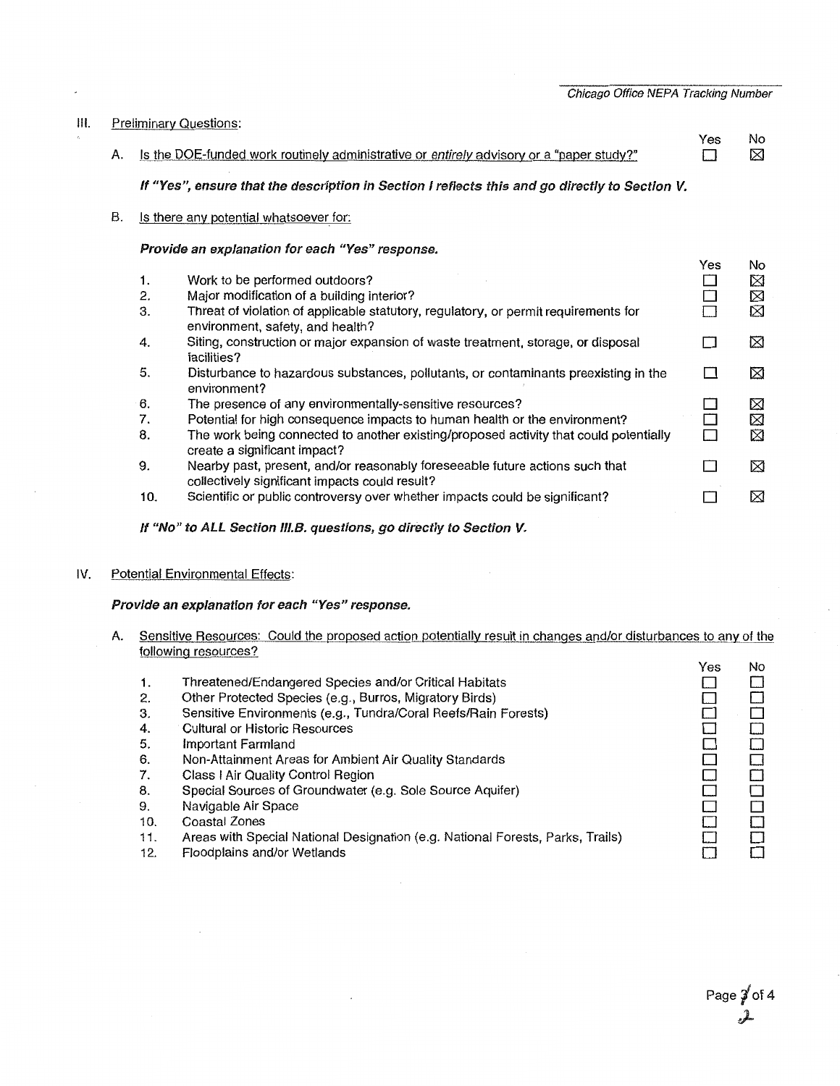Chicago Office NEPA Tracking Number

#### Ill. Preliminary Questions:

- Yes No  $\Box$ A. Is the DOE-funded work routinely administrative or entirely advisory or a "paper study?"  $\boxtimes$ If "Yes", ensure that the description in Section I reflects this and go directly to Section V. B. Is there any potential whatsoever for: Provide an explanation for each "Yes" response. Yes No  $\boxtimes$ 1. Work to be performed outdoors?  $\Box$ Major modification of a building interior?  $\Box$  $\boxtimes$ 2. Threat of violation of applicable statutory, regulatory, or permit requirements for  $\Box$ ⊠ 3. environment, safety, and health? 4. Siting, construction or major expansion of waste treatment, storage, or disposal  $\Box$ ⊠ facilities? Disturbance to hazardous substances, pollutants, or contaminants preexisting in the  $\Box$ ⊠ 5. environment? 6. The presence of any environmentally-sensitive resources? ⊠  $\Box$  $\Box$ ⊠ Potential for high consequence impacts to human health or the environment? 7.  $\Box$ The work being connected to another existing/proposed activity that could potentially 囟 8. create a significant impact? 9. Nearby past, present, and/or reasonably foreseeable future actions such that ⊠  $\Box$ collectively significant impacts could result? 10. Scientific or public controversy over whether impacts could be significant?  $\Box$ ⊠
	- If "No" to ALL Section III.B. questions, go directly to Section V.
- IV. Potential Environmental Effects:

#### Provide an explanation for each "Yes" response.

- A. Sensitive Resources: Could the proposed action potentially result in changes and/or disturbances to any of the following resources?
	- 1. 2. 3. 4. 5. 6. 7. 8. 9. Threatened/Endangered Species and/or Critical Habitats Other Protected Species (e.g., Burros, Migratory Birds) Sensitive Environments (e.g., Tundra/Coral Reefs/Rain Forests) Cultural or Historic Resources Important Farmland Non-Attainment Areas for Ambient Air Quality Standards Class I Air Quality Control Region Special Sources of Groundwater (e.g. Sole Source Aquifer) Navigable Air Space Coastal Zones  $\Box$  $\Box$  $\Box$  $\Box$  $\Box$  $\Box$  $\Box$  $\Box$  $\Box$  $\Box$  $\Box$  $\Box$  $\Box$  $\Box$  $\Box$  $\Box$  $\Box$  $\Box$  $\Box$  $\Box$
	- 10.
	- 11. Areas with Special National Designation (e.g. National Forests, Parks, Trails)
	- 12. Floodplains and/or Wetlands

Yes

No

 $\Box$  $\Box$ 

 $\Box$  $\Box$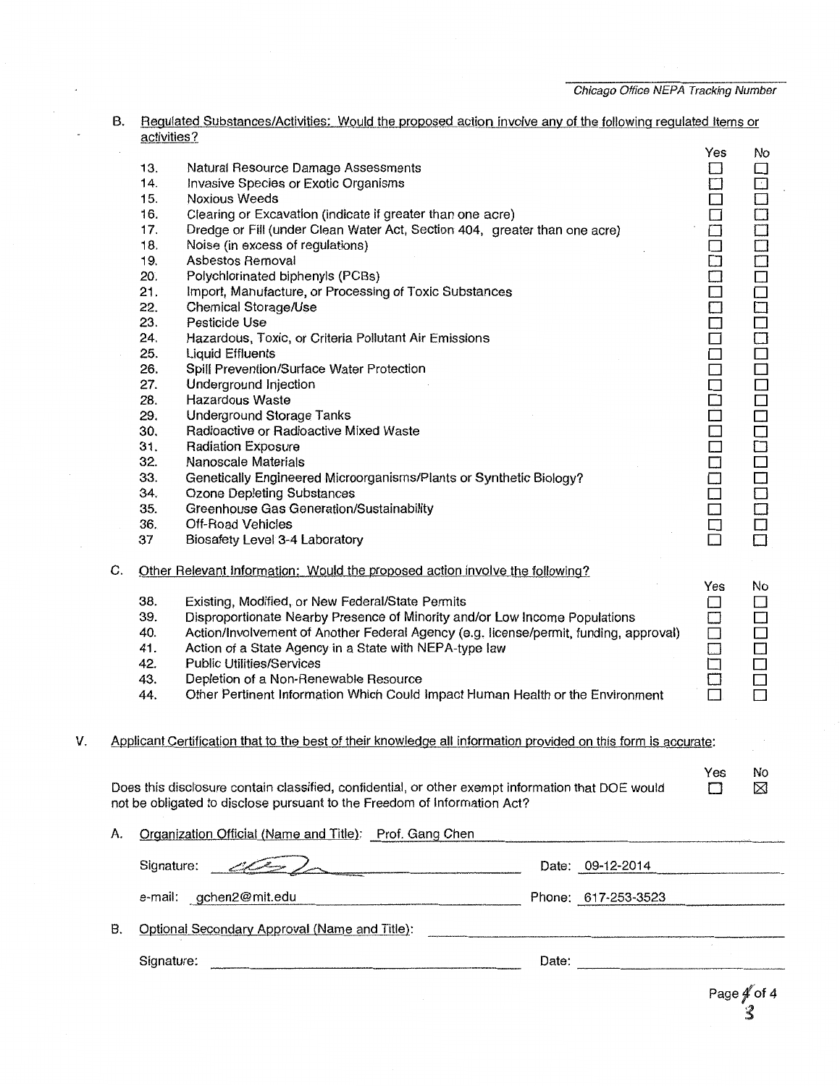|    | В. | Requlated Substances/Activities: Would the proposed action involve any of the following requlated Items or<br>activities?                                                  |                                                                                                                                                                               |                   |                  |  |
|----|----|----------------------------------------------------------------------------------------------------------------------------------------------------------------------------|-------------------------------------------------------------------------------------------------------------------------------------------------------------------------------|-------------------|------------------|--|
|    |    |                                                                                                                                                                            |                                                                                                                                                                               | Yes               | No               |  |
|    |    | 13.                                                                                                                                                                        | Natural Resource Damage Assessments                                                                                                                                           | П                 | □                |  |
|    |    | 14.                                                                                                                                                                        | Invasive Species or Exotic Organisms                                                                                                                                          |                   | $\Box$           |  |
|    |    | 15.                                                                                                                                                                        | Noxious Weeds                                                                                                                                                                 | □                 | $\Box$           |  |
|    |    | 16.                                                                                                                                                                        | Clearing or Excavation (indicate if greater than one acre)                                                                                                                    | $\Box$            | Ĥ                |  |
|    |    | 17.                                                                                                                                                                        | Dredge or Fill (under Clean Water Act, Section 404, greater than one acre)                                                                                                    |                   | $\bar{\square}$  |  |
|    |    | 18.                                                                                                                                                                        | Noise (in excess of regulations)                                                                                                                                              | 日日                | 一                |  |
|    |    | 19.                                                                                                                                                                        | Asbestos Removal                                                                                                                                                              | $\Box$            |                  |  |
|    |    | 20.                                                                                                                                                                        | Polychlorinated biphenyls (PCBs)                                                                                                                                              |                   |                  |  |
|    |    | 21.                                                                                                                                                                        | Import, Manufacture, or Processing of Toxic Substances                                                                                                                        |                   |                  |  |
|    |    | 22.                                                                                                                                                                        | Chemical Storage/Use                                                                                                                                                          |                   |                  |  |
|    |    | 23.                                                                                                                                                                        | Pesticide Use                                                                                                                                                                 |                   |                  |  |
|    |    | 24.                                                                                                                                                                        | Hazardous, Toxic, or Criteria Pollutant Air Emissions                                                                                                                         |                   |                  |  |
|    |    | 25.                                                                                                                                                                        | <b>Liquid Effluents</b>                                                                                                                                                       |                   |                  |  |
|    |    | 26.                                                                                                                                                                        | Spill Prevention/Surface Water Protection                                                                                                                                     |                   |                  |  |
|    |    | 27.                                                                                                                                                                        | Underground Injection                                                                                                                                                         |                   |                  |  |
|    |    | 28.                                                                                                                                                                        | Hazardous Waste                                                                                                                                                               |                   |                  |  |
|    |    | 29.                                                                                                                                                                        | <b>Underground Storage Tanks</b>                                                                                                                                              |                   |                  |  |
|    |    | 30.                                                                                                                                                                        | Radioactive or Radioactive Mixed Waste                                                                                                                                        | 000000000000000   | 0000000000000000 |  |
|    |    | 31.                                                                                                                                                                        | <b>Radiation Exposure</b>                                                                                                                                                     |                   |                  |  |
|    |    | 32.                                                                                                                                                                        | Nanoscale Materials                                                                                                                                                           |                   |                  |  |
|    |    | 33.                                                                                                                                                                        | Genetically Engineered Microorganisms/Plants or Synthetic Biology?                                                                                                            |                   |                  |  |
|    |    | 34.                                                                                                                                                                        | <b>Ozone Depleting Substances</b>                                                                                                                                             |                   | Ō                |  |
|    |    | 35.                                                                                                                                                                        | Greenhouse Gas Generation/Sustainability                                                                                                                                      | $\overline{\Box}$ |                  |  |
|    |    | 36.                                                                                                                                                                        | <b>Off-Road Vehicles</b>                                                                                                                                                      |                   |                  |  |
|    |    | 37                                                                                                                                                                         | Biosafety Level 3-4 Laboratory                                                                                                                                                | 日口                |                  |  |
|    | C. | Other Relevant Information: Would the proposed action involve the following?                                                                                               |                                                                                                                                                                               |                   |                  |  |
|    |    | Yes                                                                                                                                                                        |                                                                                                                                                                               |                   |                  |  |
|    |    | 38.                                                                                                                                                                        | Existing, Modified, or New Federal/State Permits                                                                                                                              | □                 | No<br>$\Box$     |  |
|    |    | 39.                                                                                                                                                                        | Disproportionate Nearby Presence of Minority and/or Low Income Populations                                                                                                    | $\Box$            | $\Box$           |  |
|    |    | 40.                                                                                                                                                                        | Action/Involvement of Another Federal Agency (e.g. license/permit, funding, approval)                                                                                         | $\Box$            | □                |  |
|    |    | 41.                                                                                                                                                                        | Action of a State Agency in a State with NEPA-type law                                                                                                                        | $\overline{\Box}$ |                  |  |
|    |    | 42.                                                                                                                                                                        | <b>Public Utilities/Services</b>                                                                                                                                              |                   |                  |  |
|    |    | 43.                                                                                                                                                                        | Depletion of a Non-Renewable Resource                                                                                                                                         |                   |                  |  |
|    |    | 44.                                                                                                                                                                        | Other Pertinent Information Which Could Impact Human Health or the Environment                                                                                                |                   |                  |  |
|    |    |                                                                                                                                                                            |                                                                                                                                                                               |                   |                  |  |
|    |    |                                                                                                                                                                            |                                                                                                                                                                               |                   |                  |  |
| V. |    |                                                                                                                                                                            | Applicant Certification that to the best of their knowledge all information provided on this form is accurate:                                                                |                   |                  |  |
|    |    |                                                                                                                                                                            |                                                                                                                                                                               |                   |                  |  |
|    |    |                                                                                                                                                                            |                                                                                                                                                                               | Yes               | No               |  |
|    |    |                                                                                                                                                                            | Does this disclosure contain classified, confidential, or other exempt information that DOE would<br>not be obligated to disclose pursuant to the Freedom of Information Act? | Г1                | ⊠                |  |
|    |    |                                                                                                                                                                            |                                                                                                                                                                               |                   |                  |  |
|    | A. | Organization Official (Name and Title): Prof. Gang Chen<br>the contract of the contract of the contract of the contract of the contract of the contract of the contract of |                                                                                                                                                                               |                   |                  |  |
|    |    |                                                                                                                                                                            |                                                                                                                                                                               |                   |                  |  |
|    |    | Signature:                                                                                                                                                                 | Date: 09-12-2014                                                                                                                                                              |                   |                  |  |
|    |    |                                                                                                                                                                            | Phone: 617-253-3523<br>e-mail: gchen2@mit.edu                                                                                                                                 |                   |                  |  |
|    | В. |                                                                                                                                                                            | Optional Secondary Approval (Name and Title):                                                                                                                                 |                   |                  |  |
|    |    |                                                                                                                                                                            |                                                                                                                                                                               |                   |                  |  |
|    |    | Signature:                                                                                                                                                                 |                                                                                                                                                                               |                   |                  |  |
|    |    |                                                                                                                                                                            |                                                                                                                                                                               |                   |                  |  |

# Page  $\not\!\!\!\!/\,\!\!\!\!/\,\!\!\!\!\!/\,$  of 4 ~